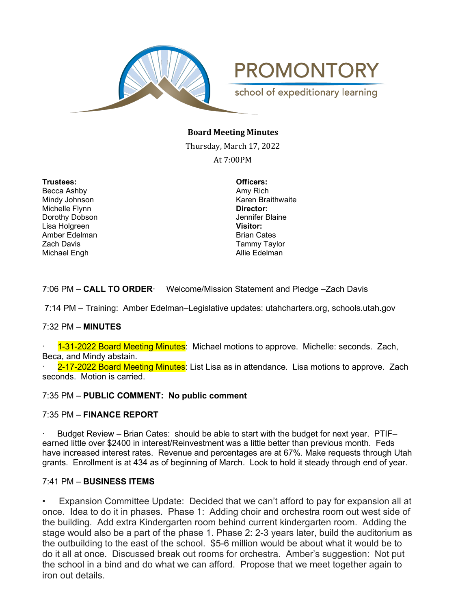

**PROMONTORY** 

school of expeditionary learning

### **Board Meeting Minutes**

Thursday, March 17, 2022

At 7:00PM

**Trustees: Officers:** Becca Ashby Michelle Flynn **Director:** Dorothy Dobson Jennifer Blaine Lisa Holgreen Amber Edelman Brian Cates Zach Davis Tammy Taylor Michael Engh **Allie Edelman** 

Mindy Johnson **Karen Braithwaite** 

7:06 PM – **CALL TO ORDER**· Welcome/Mission Statement and Pledge –Zach Davis

7:14 PM – Training: Amber Edelman–Legislative updates: utahcharters.org, schools.utah.gov

#### 7:32 PM – **MINUTES**

· 1-31-2022 Board Meeting Minutes: Michael motions to approve. Michelle: seconds. Zach, Beca, and Mindy abstain.

2-17-2022 Board Meeting Minutes: List Lisa as in attendance. Lisa motions to approve. Zach seconds. Motion is carried.

#### 7:35 PM – **PUBLIC COMMENT: No public comment**

#### 7:35 PM – **FINANCE REPORT**

· Budget Review – Brian Cates: should be able to start with the budget for next year. PTIF– earned little over \$2400 in interest/Reinvestment was a little better than previous month. Feds have increased interest rates. Revenue and percentages are at 67%. Make requests through Utah grants. Enrollment is at 434 as of beginning of March. Look to hold it steady through end of year.

### 7:41 PM – **BUSINESS ITEMS**

• Expansion Committee Update: Decided that we can't afford to pay for expansion all at once. Idea to do it in phases. Phase 1: Adding choir and orchestra room out west side of the building. Add extra Kindergarten room behind current kindergarten room. Adding the stage would also be a part of the phase 1. Phase 2: 2-3 years later, build the auditorium as the outbuilding to the east of the school. \$5-6 million would be about what it would be to do it all at once. Discussed break out rooms for orchestra. Amber's suggestion: Not put the school in a bind and do what we can afford. Propose that we meet together again to iron out details.